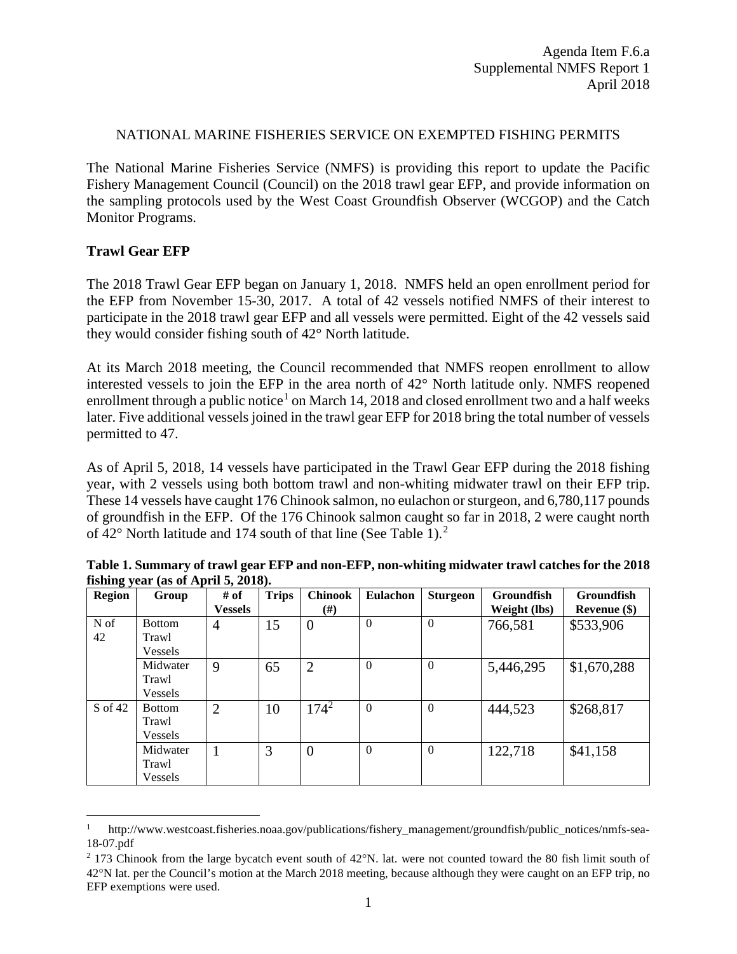### NATIONAL MARINE FISHERIES SERVICE ON EXEMPTED FISHING PERMITS

The National Marine Fisheries Service (NMFS) is providing this report to update the Pacific Fishery Management Council (Council) on the 2018 trawl gear EFP, and provide information on the sampling protocols used by the West Coast Groundfish Observer (WCGOP) and the Catch Monitor Programs.

# **Trawl Gear EFP**

The 2018 Trawl Gear EFP began on January 1, 2018. NMFS held an open enrollment period for the EFP from November 15-30, 2017. A total of 42 vessels notified NMFS of their interest to participate in the 2018 trawl gear EFP and all vessels were permitted. Eight of the 42 vessels said they would consider fishing south of 42° North latitude.

At its March 2018 meeting, the Council recommended that NMFS reopen enrollment to allow interested vessels to join the EFP in the area north of 42° North latitude only. NMFS reopened enrollment through a public notice<sup>[1](#page-0-0)</sup> on March 14, 2018 and closed enrollment two and a half weeks later. Five additional vessels joined in the trawl gear EFP for 2018 bring the total number of vessels permitted to 47.

As of April 5, 2018, 14 vessels have participated in the Trawl Gear EFP during the 2018 fishing year, with 2 vessels using both bottom trawl and non-whiting midwater trawl on their EFP trip. These 14 vessels have caught 176 Chinook salmon, no eulachon or sturgeon, and 6,780,117 pounds of groundfish in the EFP. Of the 176 Chinook salmon caught so far in 2018, 2 were caught north of 42° North latitude and 174 south of that line (See Table 1). [2](#page-0-1)

| <b>Region</b> | Group          | # of           | <b>Trips</b> | <b>Chinook</b> | <b>Eulachon</b> | <b>Sturgeon</b> | <b>Groundfish</b> | <b>Groundfish</b> |
|---------------|----------------|----------------|--------------|----------------|-----------------|-----------------|-------------------|-------------------|
|               |                | <b>Vessels</b> |              | (#)            |                 |                 | Weight (lbs)      | Revenue (\$)      |
| N of          | <b>Bottom</b>  | 4              | 15           | $\overline{0}$ | $\Omega$        | $\theta$        | 766,581           | \$533,906         |
| 42            | Trawl          |                |              |                |                 |                 |                   |                   |
|               | <b>Vessels</b> |                |              |                |                 |                 |                   |                   |
|               | Midwater       | 9              | 65           | $\overline{2}$ | $\Omega$        | $\theta$        | 5,446,295         | \$1,670,288       |
|               | Trawl          |                |              |                |                 |                 |                   |                   |
|               | Vessels        |                |              |                |                 |                 |                   |                   |
| S of 42       | <b>Bottom</b>  | $\overline{2}$ | 10           | $174^2$        | $\overline{0}$  | $\theta$        | 444,523           | \$268,817         |
|               | Trawl          |                |              |                |                 |                 |                   |                   |
|               | <b>Vessels</b> |                |              |                |                 |                 |                   |                   |
|               | Midwater       |                | 3            | $\overline{0}$ | $\Omega$        | $\theta$        | 122,718           | \$41,158          |
|               | Trawl          |                |              |                |                 |                 |                   |                   |
|               | Vessels        |                |              |                |                 |                 |                   |                   |

**Table 1. Summary of trawl gear EFP and non-EFP, non-whiting midwater trawl catches for the 2018 fishing year (as of April 5, 2018).** 

<span id="page-0-0"></span>http://www.westcoast.fisheries.noaa.gov/publications/fishery\_management/groundfish/public\_notices/nmfs-sea-18-07.pdf

<span id="page-0-1"></span><sup>2</sup> 173 Chinook from the large bycatch event south of 42°N. lat. were not counted toward the 80 fish limit south of 42°N lat. per the Council's motion at the March 2018 meeting, because although they were caught on an EFP trip, no EFP exemptions were used.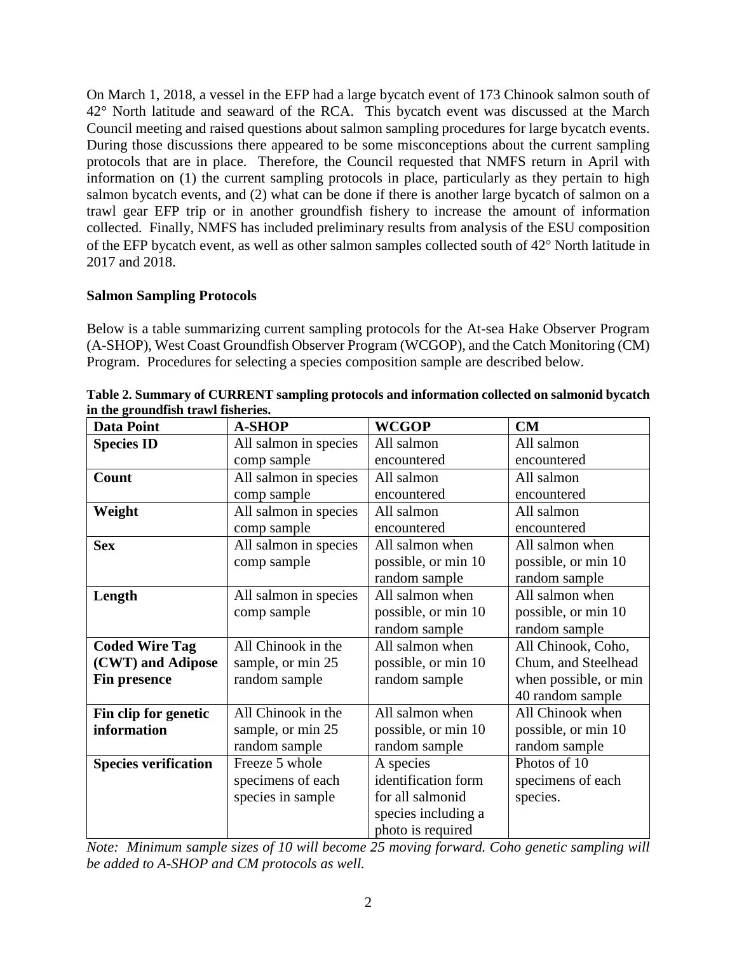On March 1, 2018, a vessel in the EFP had a large bycatch event of 173 Chinook salmon south of 42° North latitude and seaward of the RCA. This bycatch event was discussed at the March Council meeting and raised questions about salmon sampling procedures for large bycatch events. During those discussions there appeared to be some misconceptions about the current sampling protocols that are in place. Therefore, the Council requested that NMFS return in April with information on (1) the current sampling protocols in place, particularly as they pertain to high salmon bycatch events, and (2) what can be done if there is another large bycatch of salmon on a trawl gear EFP trip or in another groundfish fishery to increase the amount of information collected. Finally, NMFS has included preliminary results from analysis of the ESU composition of the EFP bycatch event, as well as other salmon samples collected south of 42° North latitude in 2017 and 2018.

# **Salmon Sampling Protocols**

Below is a table summarizing current sampling protocols for the At-sea Hake Observer Program (A-SHOP), West Coast Groundfish Observer Program (WCGOP), and the Catch Monitoring (CM) Program. Procedures for selecting a species composition sample are described below.

| <b>Data Point</b>           | <b>A-SHOP</b>         | <b>WCGOP</b>        | CM                    |
|-----------------------------|-----------------------|---------------------|-----------------------|
| <b>Species ID</b>           | All salmon in species | All salmon          | All salmon            |
|                             | comp sample           | encountered         | encountered           |
| Count                       | All salmon in species | All salmon          | All salmon            |
|                             | comp sample           | encountered         | encountered           |
| Weight                      | All salmon in species | All salmon          | All salmon            |
|                             | comp sample           | encountered         | encountered           |
| <b>Sex</b>                  | All salmon in species | All salmon when     | All salmon when       |
|                             | comp sample           | possible, or min 10 | possible, or min 10   |
|                             |                       | random sample       | random sample         |
| Length                      | All salmon in species | All salmon when     | All salmon when       |
|                             | comp sample           | possible, or min 10 | possible, or min 10   |
|                             |                       | random sample       | random sample         |
| <b>Coded Wire Tag</b>       | All Chinook in the    | All salmon when     | All Chinook, Coho,    |
| (CWT) and Adipose           | sample, or min 25     | possible, or min 10 | Chum, and Steelhead   |
| Fin presence                | random sample         | random sample       | when possible, or min |
|                             |                       |                     | 40 random sample      |
| Fin clip for genetic        | All Chinook in the    | All salmon when     | All Chinook when      |
| information                 | sample, or min 25     | possible, or min 10 | possible, or min 10   |
|                             | random sample         | random sample       | random sample         |
| <b>Species verification</b> | Freeze 5 whole        | A species           | Photos of 10          |
|                             | specimens of each     | identification form | specimens of each     |
|                             | species in sample     | for all salmonid    | species.              |
|                             |                       | species including a |                       |
|                             |                       | photo is required   |                       |

**Table 2. Summary of CURRENT sampling protocols and information collected on salmonid bycatch in the groundfish trawl fisheries.**

*Note: Minimum sample sizes of 10 will become 25 moving forward. Coho genetic sampling will be added to A-SHOP and CM protocols as well.*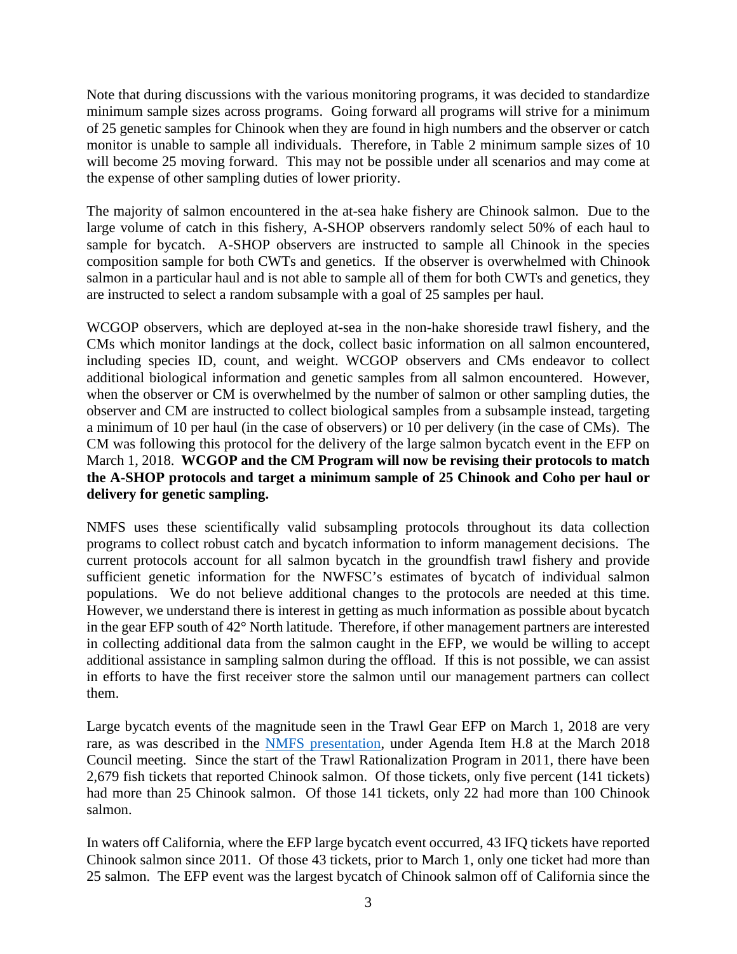Note that during discussions with the various monitoring programs, it was decided to standardize minimum sample sizes across programs. Going forward all programs will strive for a minimum of 25 genetic samples for Chinook when they are found in high numbers and the observer or catch monitor is unable to sample all individuals. Therefore, in Table 2 minimum sample sizes of 10 will become 25 moving forward. This may not be possible under all scenarios and may come at the expense of other sampling duties of lower priority.

The majority of salmon encountered in the at-sea hake fishery are Chinook salmon. Due to the large volume of catch in this fishery, A-SHOP observers randomly select 50% of each haul to sample for bycatch. A-SHOP observers are instructed to sample all Chinook in the species composition sample for both CWTs and genetics. If the observer is overwhelmed with Chinook salmon in a particular haul and is not able to sample all of them for both CWTs and genetics, they are instructed to select a random subsample with a goal of 25 samples per haul.

WCGOP observers, which are deployed at-sea in the non-hake shoreside trawl fishery, and the CMs which monitor landings at the dock, collect basic information on all salmon encountered, including species ID, count, and weight. WCGOP observers and CMs endeavor to collect additional biological information and genetic samples from all salmon encountered. However, when the observer or CM is overwhelmed by the number of salmon or other sampling duties, the observer and CM are instructed to collect biological samples from a subsample instead, targeting a minimum of 10 per haul (in the case of observers) or 10 per delivery (in the case of CMs). The CM was following this protocol for the delivery of the large salmon bycatch event in the EFP on March 1, 2018. **WCGOP and the CM Program will now be revising their protocols to match the A-SHOP protocols and target a minimum sample of 25 Chinook and Coho per haul or delivery for genetic sampling.**

NMFS uses these scientifically valid subsampling protocols throughout its data collection programs to collect robust catch and bycatch information to inform management decisions. The current protocols account for all salmon bycatch in the groundfish trawl fishery and provide sufficient genetic information for the NWFSC's estimates of bycatch of individual salmon populations. We do not believe additional changes to the protocols are needed at this time. However, we understand there is interest in getting as much information as possible about bycatch in the gear EFP south of 42° North latitude. Therefore, if other management partners are interested in collecting additional data from the salmon caught in the EFP, we would be willing to accept additional assistance in sampling salmon during the offload. If this is not possible, we can assist in efforts to have the first receiver store the salmon until our management partners can collect them.

Large bycatch events of the magnitude seen in the Trawl Gear EFP on March 1, 2018 are very rare, as was described in the [NMFS presentation,](https://www.pcouncil.org/wp-content/uploads/2018/03/H8a_Sup_NMFS_Presentation1_Palmigiano_Trawl_Gear_EFP_MARCH2018BB.pdf) under Agenda Item H.8 at the March 2018 Council meeting. Since the start of the Trawl Rationalization Program in 2011, there have been 2,679 fish tickets that reported Chinook salmon. Of those tickets, only five percent (141 tickets) had more than 25 Chinook salmon. Of those 141 tickets, only 22 had more than 100 Chinook salmon.

In waters off California, where the EFP large bycatch event occurred, 43 IFQ tickets have reported Chinook salmon since 2011. Of those 43 tickets, prior to March 1, only one ticket had more than 25 salmon. The EFP event was the largest bycatch of Chinook salmon off of California since the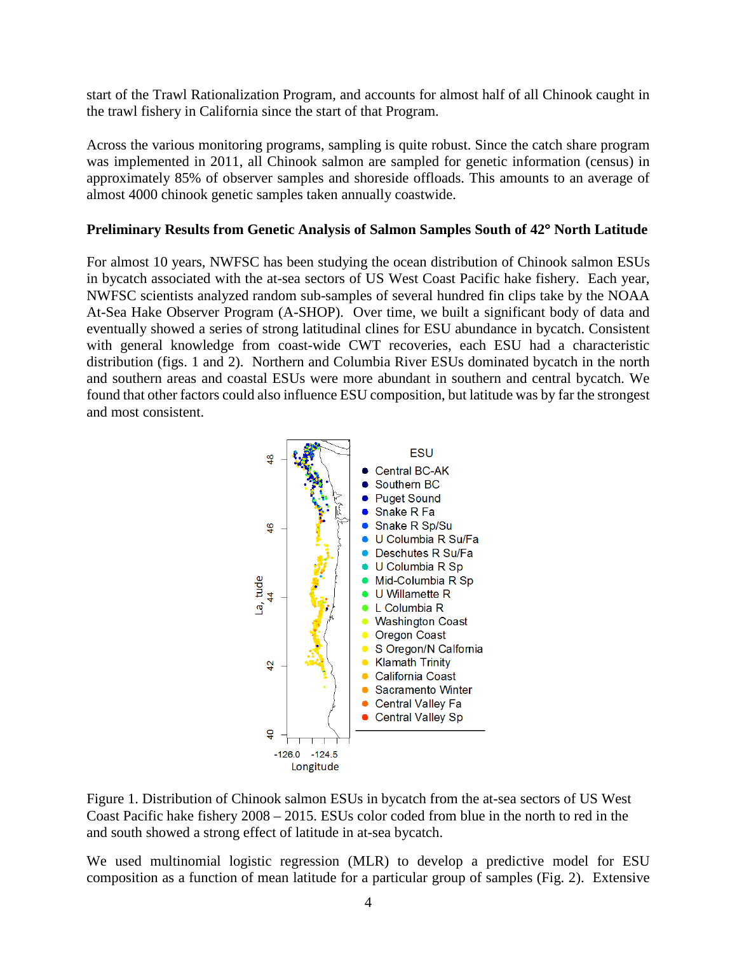start of the Trawl Rationalization Program, and accounts for almost half of all Chinook caught in the trawl fishery in California since the start of that Program.

Across the various monitoring programs, sampling is quite robust. Since the catch share program was implemented in 2011, all Chinook salmon are sampled for genetic information (census) in approximately 85% of observer samples and shoreside offloads. This amounts to an average of almost 4000 chinook genetic samples taken annually coastwide.

## **Preliminary Results from Genetic Analysis of Salmon Samples South of 42**° **North Latitude**

For almost 10 years, NWFSC has been studying the ocean distribution of Chinook salmon ESUs in bycatch associated with the at-sea sectors of US West Coast Pacific hake fishery. Each year, NWFSC scientists analyzed random sub-samples of several hundred fin clips take by the NOAA At-Sea Hake Observer Program (A-SHOP). Over time, we built a significant body of data and eventually showed a series of strong latitudinal clines for ESU abundance in bycatch. Consistent with general knowledge from coast-wide CWT recoveries, each ESU had a characteristic distribution (figs. 1 and 2). Northern and Columbia River ESUs dominated bycatch in the north and southern areas and coastal ESUs were more abundant in southern and central bycatch. We found that other factors could also influence ESU composition, but latitude was by far the strongest and most consistent.



Figure 1. Distribution of Chinook salmon ESUs in bycatch from the at-sea sectors of US West Coast Pacific hake fishery 2008 – 2015. ESUs color coded from blue in the north to red in the and south showed a strong effect of latitude in at-sea bycatch.

We used multinomial logistic regression (MLR) to develop a predictive model for ESU composition as a function of mean latitude for a particular group of samples (Fig. 2). Extensive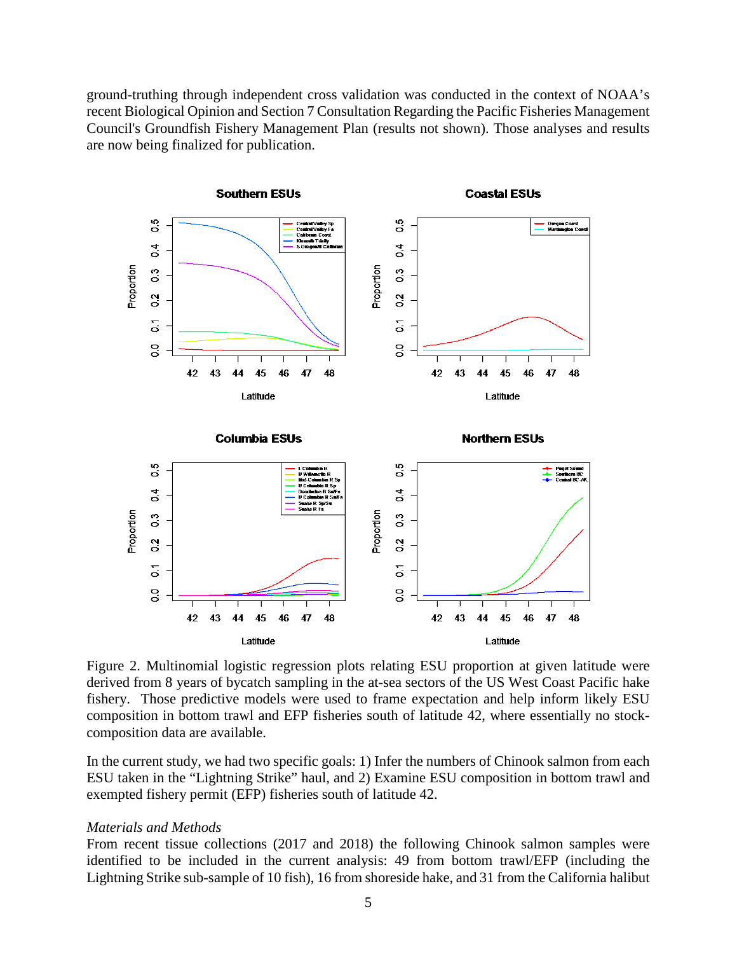ground-truthing through independent cross validation was conducted in the context of NOAA's recent Biological Opinion and Section 7 Consultation Regarding the Pacific Fisheries Management Council's Groundfish Fishery Management Plan (results not shown). Those analyses and results are now being finalized for publication.



Figure 2. Multinomial logistic regression plots relating ESU proportion at given latitude were derived from 8 years of bycatch sampling in the at-sea sectors of the US West Coast Pacific hake fishery. Those predictive models were used to frame expectation and help inform likely ESU composition in bottom trawl and EFP fisheries south of latitude 42, where essentially no stockcomposition data are available.

In the current study, we had two specific goals: 1) Infer the numbers of Chinook salmon from each ESU taken in the "Lightning Strike" haul, and 2) Examine ESU composition in bottom trawl and exempted fishery permit (EFP) fisheries south of latitude 42.

#### *Materials and Methods*

From recent tissue collections (2017 and 2018) the following Chinook salmon samples were identified to be included in the current analysis: 49 from bottom trawl/EFP (including the Lightning Strike sub-sample of 10 fish), 16 from shoreside hake, and 31 from the California halibut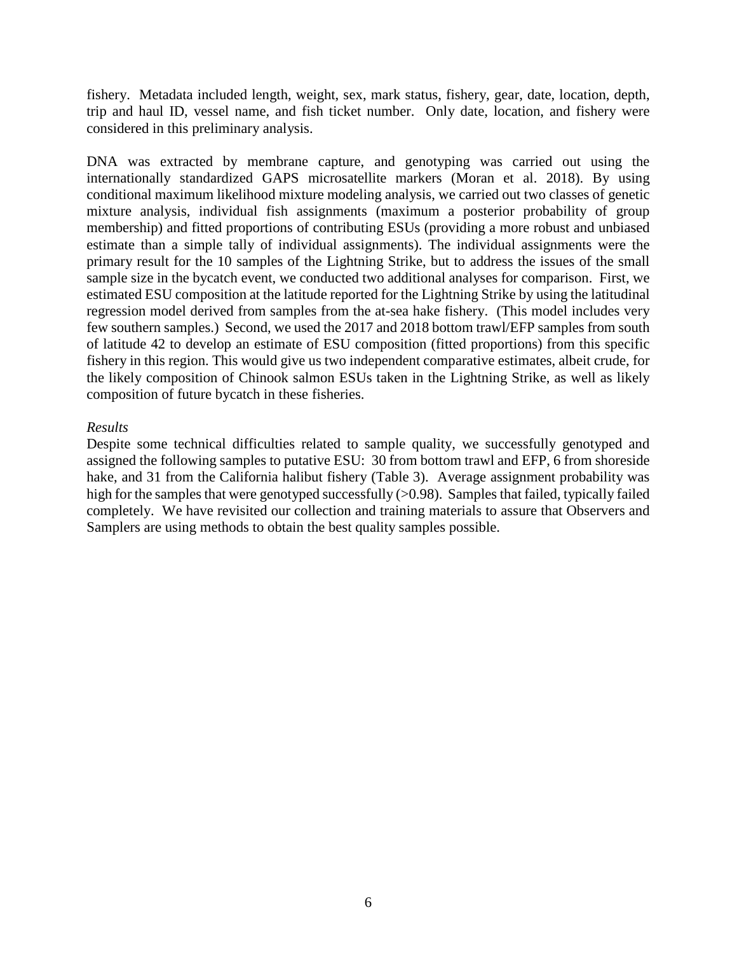fishery. Metadata included length, weight, sex, mark status, fishery, gear, date, location, depth, trip and haul ID, vessel name, and fish ticket number. Only date, location, and fishery were considered in this preliminary analysis.

DNA was extracted by membrane capture, and genotyping was carried out using the internationally standardized GAPS microsatellite markers (Moran et al. 2018). By using conditional maximum likelihood mixture modeling analysis, we carried out two classes of genetic mixture analysis, individual fish assignments (maximum a posterior probability of group membership) and fitted proportions of contributing ESUs (providing a more robust and unbiased estimate than a simple tally of individual assignments). The individual assignments were the primary result for the 10 samples of the Lightning Strike, but to address the issues of the small sample size in the bycatch event, we conducted two additional analyses for comparison. First, we estimated ESU composition at the latitude reported for the Lightning Strike by using the latitudinal regression model derived from samples from the at-sea hake fishery. (This model includes very few southern samples.) Second, we used the 2017 and 2018 bottom trawl/EFP samples from south of latitude 42 to develop an estimate of ESU composition (fitted proportions) from this specific fishery in this region. This would give us two independent comparative estimates, albeit crude, for the likely composition of Chinook salmon ESUs taken in the Lightning Strike, as well as likely composition of future bycatch in these fisheries.

### *Results*

Despite some technical difficulties related to sample quality, we successfully genotyped and assigned the following samples to putative ESU: 30 from bottom trawl and EFP, 6 from shoreside hake, and 31 from the California halibut fishery (Table 3). Average assignment probability was high for the samples that were genotyped successfully ( $>0.98$ ). Samples that failed, typically failed completely. We have revisited our collection and training materials to assure that Observers and Samplers are using methods to obtain the best quality samples possible.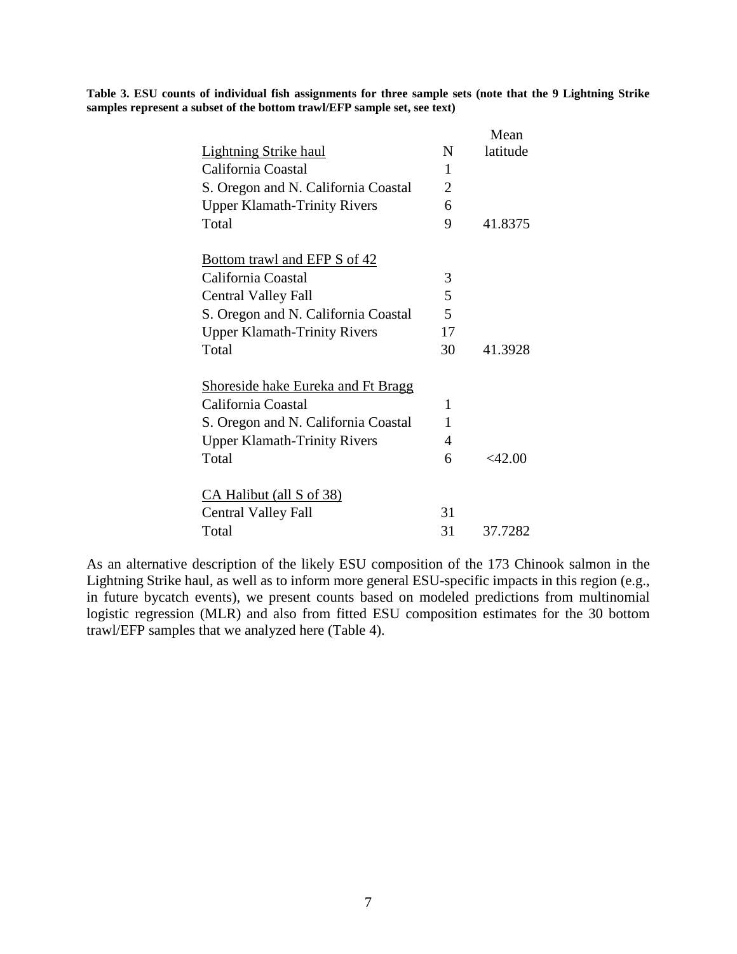**Table 3. ESU counts of individual fish assignments for three sample sets (note that the 9 Lightning Strike samples represent a subset of the bottom trawl/EFP sample set, see text)**

|                                           |                | Mean      |
|-------------------------------------------|----------------|-----------|
| <b>Lightning Strike haul</b>              | N              | latitude  |
| California Coastal                        | 1              |           |
| S. Oregon and N. California Coastal       | $\overline{2}$ |           |
| <b>Upper Klamath-Trinity Rivers</b>       | 6              |           |
| Total                                     | 9              | 41.8375   |
| <b>Bottom trawl and EFP S of 42</b>       |                |           |
| California Coastal                        | 3              |           |
| <b>Central Valley Fall</b>                | 5              |           |
| S. Oregon and N. California Coastal       | 5              |           |
| <b>Upper Klamath-Trinity Rivers</b>       | 17             |           |
| Total                                     | 30             | 41.3928   |
| <b>Shoreside hake Eureka and Ft Bragg</b> |                |           |
| California Coastal                        | 1              |           |
| S. Oregon and N. California Coastal       | 1              |           |
| <b>Upper Klamath-Trinity Rivers</b>       | 4              |           |
| Total                                     | 6              | $<$ 42.00 |
| CA Halibut (all S of 38)                  |                |           |
| <b>Central Valley Fall</b>                | 31             |           |
| Total                                     | 31             | 37.7282   |

As an alternative description of the likely ESU composition of the 173 Chinook salmon in the Lightning Strike haul, as well as to inform more general ESU-specific impacts in this region (e.g., in future bycatch events), we present counts based on modeled predictions from multinomial logistic regression (MLR) and also from fitted ESU composition estimates for the 30 bottom trawl/EFP samples that we analyzed here (Table 4).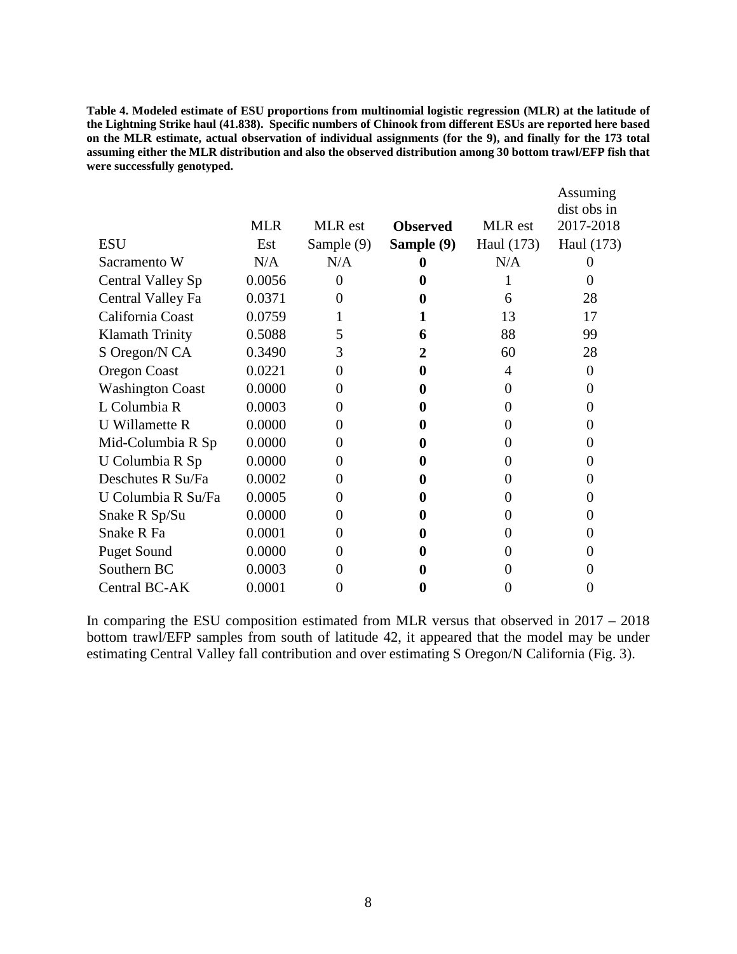**Table 4. Modeled estimate of ESU proportions from multinomial logistic regression (MLR) at the latitude of the Lightning Strike haul (41.838). Specific numbers of Chinook from different ESUs are reported here based on the MLR estimate, actual observation of individual assignments (for the 9), and finally for the 173 total assuming either the MLR distribution and also the observed distribution among 30 bottom trawl/EFP fish that were successfully genotyped.**

|                          | <b>MLR</b> | <b>MLR</b> est | <b>Observed</b> | MLR est    | Assuming<br>dist obs in<br>2017-2018 |
|--------------------------|------------|----------------|-----------------|------------|--------------------------------------|
| <b>ESU</b>               | Est        |                |                 |            |                                      |
|                          |            | Sample (9)     | Sample (9)      | Haul (173) | Haul (173)                           |
| Sacramento W             | N/A        | N/A            |                 | N/A        |                                      |
| <b>Central Valley Sp</b> | 0.0056     | 0              |                 |            |                                      |
| Central Valley Fa        | 0.0371     | 0              |                 | 6          | 28                                   |
| California Coast         | 0.0759     |                |                 | 13         | 17                                   |
| <b>Klamath Trinity</b>   | 0.5088     | 5              | 6               | 88         | 99                                   |
| S Oregon/N CA            | 0.3490     | 3              | 2               | 60         | 28                                   |
| Oregon Coast             | 0.0221     | 0              |                 | 4          | 0                                    |
| <b>Washington Coast</b>  | 0.0000     | $\Omega$       | O               | $\theta$   | $\mathbf{0}$                         |
| L Columbia R             | 0.0003     | 0              |                 | 0          |                                      |
| <b>U</b> Willamette R    | 0.0000     | $\Omega$       |                 |            |                                      |
| Mid-Columbia R Sp        | 0.0000     | $\Omega$       | 0               | $\theta$   | $\mathbf{\Omega}$                    |
| U Columbia R Sp          | 0.0000     | $\Omega$       |                 | 0          |                                      |
| Deschutes R Su/Fa        | 0.0002     | $\Omega$       |                 |            |                                      |
| U Columbia R Su/Fa       | 0.0005     | 0              | O               | 0          |                                      |
| Snake R Sp/Su            | 0.0000     | $\Omega$       |                 |            |                                      |
| Snake R Fa               | 0.0001     | $\Omega$       |                 |            |                                      |
| <b>Puget Sound</b>       | 0.0000     | 0              |                 | 0          |                                      |
| Southern BC              | 0.0003     | 0              |                 |            |                                      |
| Central BC-AK            | 0.0001     | 0              | 0               | 0          |                                      |

In comparing the ESU composition estimated from MLR versus that observed in 2017 – 2018 bottom trawl/EFP samples from south of latitude 42, it appeared that the model may be under estimating Central Valley fall contribution and over estimating S Oregon/N California (Fig. 3).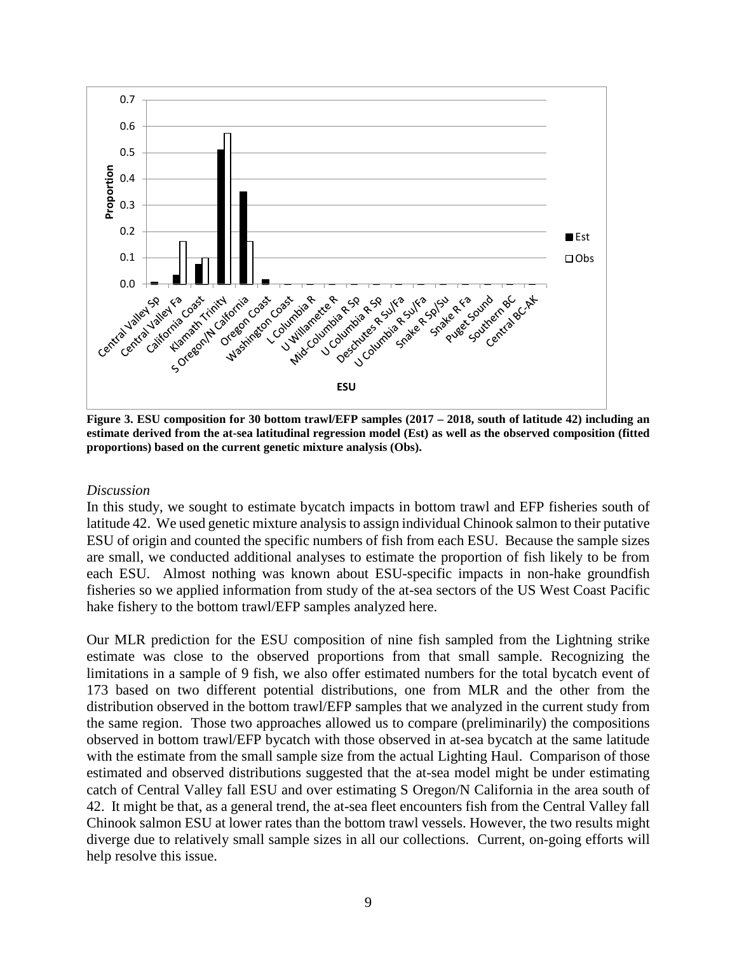

**Figure 3. ESU composition for 30 bottom trawl/EFP samples (2017 – 2018, south of latitude 42) including an estimate derived from the at-sea latitudinal regression model (Est) as well as the observed composition (fitted proportions) based on the current genetic mixture analysis (Obs).**

### *Discussion*

In this study, we sought to estimate bycatch impacts in bottom trawl and EFP fisheries south of latitude 42. We used genetic mixture analysis to assign individual Chinook salmon to their putative ESU of origin and counted the specific numbers of fish from each ESU. Because the sample sizes are small, we conducted additional analyses to estimate the proportion of fish likely to be from each ESU. Almost nothing was known about ESU-specific impacts in non-hake groundfish fisheries so we applied information from study of the at-sea sectors of the US West Coast Pacific hake fishery to the bottom trawl/EFP samples analyzed here.

Our MLR prediction for the ESU composition of nine fish sampled from the Lightning strike estimate was close to the observed proportions from that small sample. Recognizing the limitations in a sample of 9 fish, we also offer estimated numbers for the total bycatch event of 173 based on two different potential distributions, one from MLR and the other from the distribution observed in the bottom trawl/EFP samples that we analyzed in the current study from the same region. Those two approaches allowed us to compare (preliminarily) the compositions observed in bottom trawl/EFP bycatch with those observed in at-sea bycatch at the same latitude with the estimate from the small sample size from the actual Lighting Haul. Comparison of those estimated and observed distributions suggested that the at-sea model might be under estimating catch of Central Valley fall ESU and over estimating S Oregon/N California in the area south of 42. It might be that, as a general trend, the at-sea fleet encounters fish from the Central Valley fall Chinook salmon ESU at lower rates than the bottom trawl vessels. However, the two results might diverge due to relatively small sample sizes in all our collections. Current, on-going efforts will help resolve this issue.